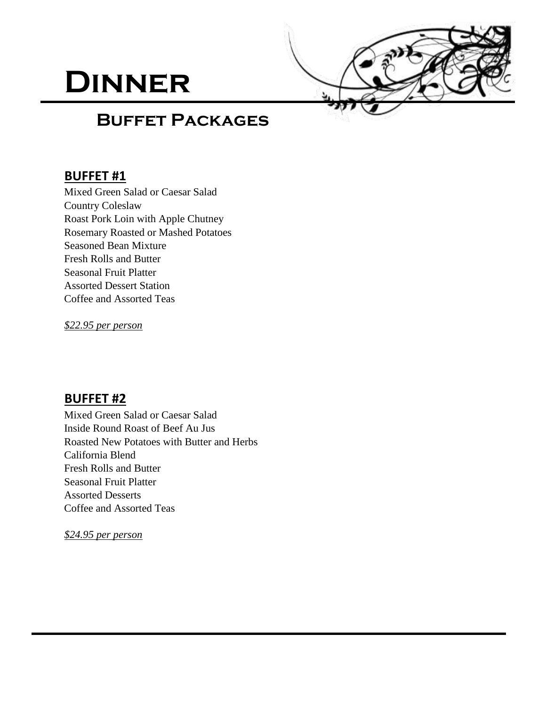# **Dinner**



## **Buffet Packages**

#### **BUFFET #1**

Mixed Green Salad or Caesar Salad Country Coleslaw Roast Pork Loin with Apple Chutney Rosemary Roasted or Mashed Potatoes Seasoned Bean Mixture Fresh Rolls and Butter Seasonal Fruit Platter Assorted Dessert Station Coffee and Assorted Teas

*\$22.95 per person*

#### **BUFFET #2**

Mixed Green Salad or Caesar Salad Inside Round Roast of Beef Au Jus Roasted New Potatoes with Butter and Herbs California Blend Fresh Rolls and Butter Seasonal Fruit Platter Assorted Desserts Coffee and Assorted Teas

*\$24.95 per person*